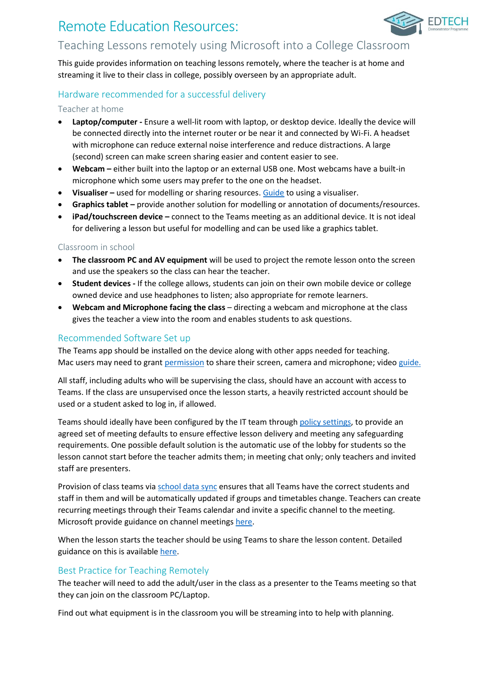# Remote Education Resources:



# Teaching Lessons remotely using Microsoft into a College Classroom

This guide provides information on teaching lessons remotely, where the teacher is at home and streaming it live to their class in college, possibly overseen by an appropriate adult.

# Hardware recommended for a successful delivery

### Teacher at home

- **Laptop/computer -** Ensure a well-lit room with laptop, or desktop device. Ideally the device will be connected directly into the internet router or be near it and connected by Wi-Fi. A headset with microphone can reduce external noise interference and reduce distractions. A large (second) screen can make screen sharing easier and content easier to see.
- **Webcam –** either built into the laptop or an external USB one. Most webcams have a built-in microphone which some users may prefer to the one on the headset.
- **Visualiser –** used for modelling or sharing resources. [Guide](https://support.microsoft.com/en-gb/office/share-whiteboards-and-documents-using-your-camera-in-teams-meetings-905b52e3-bcd7-45c5-84cc-03992d7fc84f) to using a visualiser.
- **Graphics tablet –** provide another solution for modelling or annotation of documents/resources.
- **iPad/touchscreen device –** connect to the Teams meeting as an additional device. It is not ideal for delivering a lesson but useful for modelling and can be used like a graphics tablet.

## Classroom in school

- **The classroom PC and AV equipment** will be used to project the remote lesson onto the screen and use the speakers so the class can hear the teacher.
- **Student devices -** If the college allows, students can join on their own mobile device or college owned device and use headphones to listen; also appropriate for remote learners.
- **Webcam and Microphone facing the class** directing a webcam and microphone at the class gives the teacher a view into the room and enables students to ask questions.

## Recommended Software Set up

The Teams app should be installed on the device along with other apps needed for teaching. Mac users may need to gran[t permission](https://support.apple.com/en-gb/guide/mac-help/mh32356/10.15/mac/10.15) to share their screen, camera and microphone; vide[o guide.](https://youtu.be/Dr8F6R3UkuU?t=283)

All staff, including adults who will be supervising the class, should have an account with access to Teams. If the class are unsupervised once the lesson starts, a heavily restricted account should be used or a student asked to log in, if allowed.

Teams should ideally have been configured by the IT team throug[h policy settings,](https://docs.microsoft.com/en-us/microsoftteams/policy-packages-edu) to provide an agreed set of meeting defaults to ensure effective lesson delivery and meeting any safeguarding requirements. One possible default solution is the automatic use of the lobby for students so the lesson cannot start before the teacher admits them; in meeting chat only; only teachers and invited staff are presenters.

Provision of class teams via [school data sync](https://sds.microsoft.com/) ensures that all Teams have the correct students and staff in them and will be automatically updated if groups and timetables change. Teachers can create recurring meetings through their Teams calendar and invite a specific channel to the meeting. Microsoft provide guidance on channel meetings [here.](https://support.microsoft.com/en-gb/office/schedule-a-meeting-in-teams-943507a9-8583-4c58-b5d2-8ec8265e04e5#bkmk_makeitchannel)

When the lesson starts the teacher should be using Teams to share the lesson content. Detailed guidance on this is available [here.](https://support.microsoft.com/en-us/office/show-your-screen-during-a-meeting-90c84e5a-b6fe-4ed4-9687-5923d230d3a7?ui=en-us&rs=en-us&ad=us#:~:text=1%20Select%20Share%20Share%20screen%20button%20.%202,sharing%20to%20stop%20showing%20your%20screen.%20See%20More)

## Best Practice for Teaching Remotely

The teacher will need to add the adult/user in the class as a presenter to the Teams meeting so that they can join on the classroom PC/Laptop.

Find out what equipment is in the classroom you will be streaming into to help with planning.